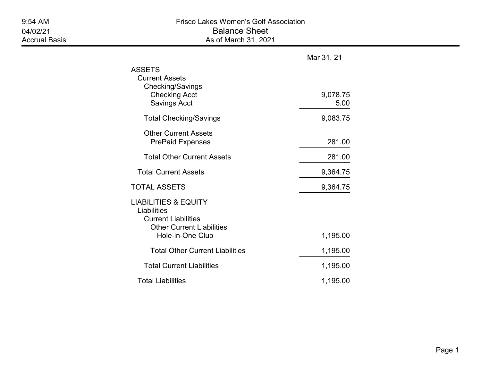|                                                                                                                                      | Mar 31, 21       |
|--------------------------------------------------------------------------------------------------------------------------------------|------------------|
| ASSETS<br><b>Current Assets</b><br>Checking/Savings<br><b>Checking Acct</b><br><b>Savings Acct</b>                                   | 9,078.75<br>5.00 |
| <b>Total Checking/Savings</b>                                                                                                        | 9,083.75         |
| <b>Other Current Assets</b><br><b>PrePaid Expenses</b>                                                                               | 281.00           |
| <b>Total Other Current Assets</b>                                                                                                    | 281.00           |
| <b>Total Current Assets</b>                                                                                                          | 9,364.75         |
| <b>TOTAL ASSETS</b>                                                                                                                  | 9,364.75         |
| <b>LIABILITIES &amp; EQUITY</b><br>Liabilities<br><b>Current Liabilities</b><br><b>Other Current Liabilities</b><br>Hole-in-One Club | 1,195.00         |
| <b>Total Other Current Liabilities</b>                                                                                               | 1,195.00         |
| <b>Total Current Liabilities</b>                                                                                                     | 1,195.00         |
| <b>Total Liabilities</b>                                                                                                             | 1,195.00         |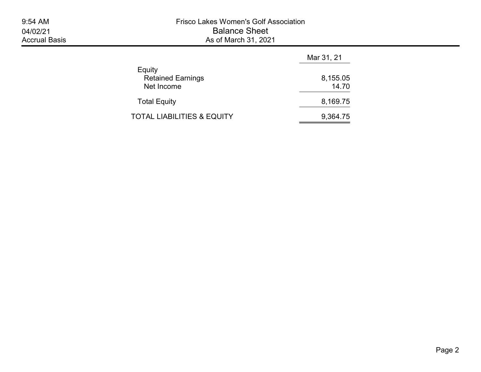|                                                  | Mar 31, 21        |  |  |
|--------------------------------------------------|-------------------|--|--|
| Equity<br><b>Retained Earnings</b><br>Net Income | 8,155.05<br>14.70 |  |  |
| <b>Total Equity</b>                              | 8,169.75          |  |  |
| TOTAL LIABILITIES & EQUITY                       | 9,364.75          |  |  |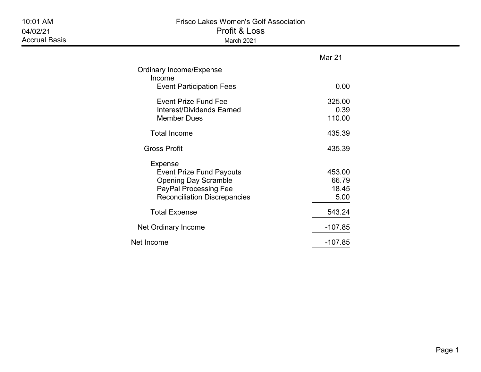|                                                                                                                                                  | Mar 21                           |
|--------------------------------------------------------------------------------------------------------------------------------------------------|----------------------------------|
| Ordinary Income/Expense<br>Income<br><b>Event Participation Fees</b>                                                                             | 0.00                             |
| <b>Event Prize Fund Fee</b><br>Interest/Dividends Earned<br><b>Member Dues</b>                                                                   | 325.00<br>0.39<br>110.00         |
| <b>Total Income</b>                                                                                                                              | 435.39                           |
| Gross Profit                                                                                                                                     | 435.39                           |
| Expense<br><b>Event Prize Fund Payouts</b><br><b>Opening Day Scramble</b><br><b>PayPal Processing Fee</b><br><b>Reconciliation Discrepancies</b> | 453.00<br>66.79<br>18.45<br>5.00 |
| <b>Total Expense</b>                                                                                                                             | 543.24                           |
| Net Ordinary Income                                                                                                                              | $-107.85$                        |
| Net Income                                                                                                                                       | $-107.85$                        |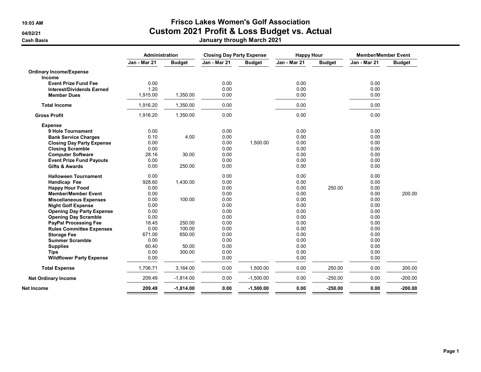## 10:03 AM Frisco Lakes Women's Golf Association 04/02/21 Custom 2021 Profit & Loss Budget vs. Actual

| Cash Basis | January through March 2021 |
|------------|----------------------------|
|------------|----------------------------|

|                                  | Administration      |               | <b>Closing Day Party Expense</b> |               | <b>Happy Hour</b> |               | <b>Member/Member Event</b> |               |
|----------------------------------|---------------------|---------------|----------------------------------|---------------|-------------------|---------------|----------------------------|---------------|
|                                  | <b>Jan - Mar 21</b> | <b>Budget</b> | Jan - Mar 21                     | <b>Budget</b> | Jan - Mar 21      | <b>Budget</b> | Jan - Mar 21               | <b>Budget</b> |
| <b>Ordinary Income/Expense</b>   |                     |               |                                  |               |                   |               |                            |               |
| Income                           |                     |               |                                  |               |                   |               |                            |               |
| <b>Event Prize Fund Fee</b>      | 0.00                |               | 0.00                             |               | 0.00              |               | 0.00                       |               |
| <b>Interest/Dividends Earned</b> | 1.20                |               | 0.00                             |               | 0.00              |               | 0.00                       |               |
| <b>Member Dues</b>               | 1,915.00            | 1,350.00      | 0.00                             |               | 0.00              |               | 0.00                       |               |
| <b>Total Income</b>              | 1,916.20            | 1,350.00      | 0.00                             |               | 0.00              |               | 0.00                       |               |
| <b>Gross Profit</b>              | 1,916.20            | 1,350.00      | 0.00                             |               | 0.00              |               | 0.00                       |               |
| <b>Expense</b>                   |                     |               |                                  |               |                   |               |                            |               |
| 9 Hole Tournament                | 0.00                |               | 0.00                             |               | 0.00              |               | 0.00                       |               |
| <b>Bank Service Charges</b>      | 0.10                | 4.00          | 0.00                             |               | 0.00              |               | 0.00                       |               |
| <b>Closing Day Party Expense</b> | 0.00                |               | 0.00                             | 1,500.00      | 0.00              |               | 0.00                       |               |
| <b>Closing Scramble</b>          | 0.00                |               | 0.00                             |               | 0.00              |               | 0.00                       |               |
| <b>Computer Software</b>         | 28.16               | 30.00         | 0.00                             |               | 0.00              |               | 0.00                       |               |
| <b>Event Prize Fund Payouts</b>  | 0.00                |               | 0.00                             |               | 0.00              |               | 0.00                       |               |
| <b>Gifts &amp; Awards</b>        | 0.00                | 250.00        | 0.00                             |               | 0.00              |               | 0.00                       |               |
| <b>Halloween Tournament</b>      | 0.00                |               | 0.00                             |               | 0.00              |               | 0.00                       |               |
| Handicap Fee                     | 928.60              | 1,430.00      | 0.00                             |               | 0.00              |               | 0.00                       |               |
| <b>Happy Hour Food</b>           | 0.00                |               | 0.00                             |               | 0.00              | 250.00        | 0.00                       |               |
| <b>Member/Member Event</b>       | 0.00                |               | 0.00                             |               | 0.00              |               | 0.00                       | 200.00        |
| <b>Miscellaneous Expenses</b>    | 0.00                | 100.00        | 0.00                             |               | 0.00              |               | 0.00                       |               |
| <b>Night Golf Expense</b>        | 0.00                |               | 0.00                             |               | 0.00              |               | 0.00                       |               |
| <b>Opening Day Party Expense</b> | 0.00                |               | 0.00                             |               | 0.00              |               | 0.00                       |               |
| <b>Opening Day Scramble</b>      | 0.00                |               | 0.00                             |               | 0.00              |               | 0.00                       |               |
| <b>PayPal Processing Fee</b>     | 18.45               | 250.00        | 0.00                             |               | 0.00              |               | 0.00                       |               |
| <b>Rules Committee Expenses</b>  | 0.00                | 100.00        | 0.00                             |               | 0.00              |               | 0.00                       |               |
| <b>Storage Fee</b>               | 671.00              | 650.00        | 0.00                             |               | 0.00              |               | 0.00                       |               |
| <b>Summer Scramble</b>           | 0.00                |               | 0.00                             |               | 0.00              |               | 0.00                       |               |
| <b>Supplies</b>                  | 60.40               | 50.00         | 0.00                             |               | 0.00              |               | 0.00                       |               |
| <b>Tips</b>                      | 0.00                | 300.00        | 0.00                             |               | 0.00              |               | 0.00                       |               |
| <b>Wildflower Party Expense</b>  | 0.00                |               | 0.00                             |               | 0.00              |               | 0.00                       |               |
| <b>Total Expense</b>             | 1,706.71            | 3,164.00      | 0.00                             | 1,500.00      | 0.00              | 250.00        | 0.00                       | 200.00        |
| <b>Net Ordinary Income</b>       | 209.49              | $-1,814.00$   | 0.00                             | $-1,500.00$   | 0.00              | $-250.00$     | 0.00                       | $-200.00$     |
| Net Income                       | 209.49              | $-1,814.00$   | 0.00                             | $-1,500.00$   | 0.00              | $-250.00$     | 0.00                       | $-200.00$     |